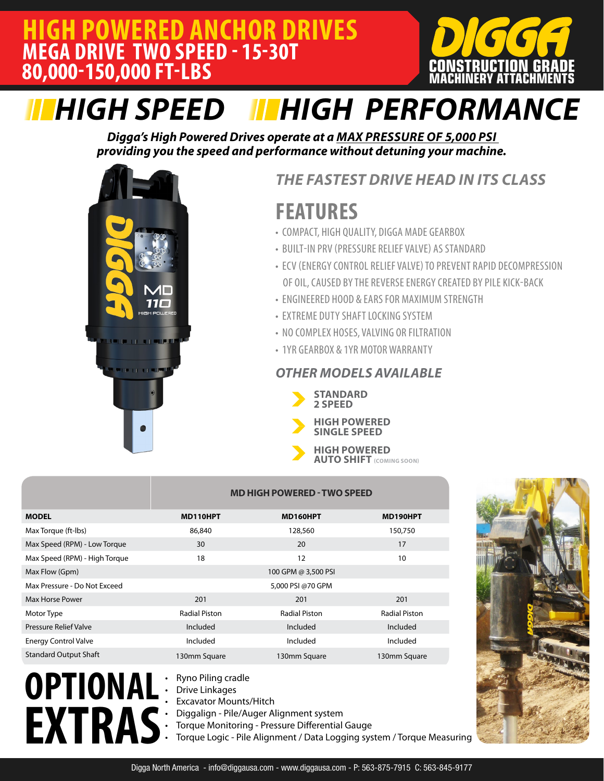### **HIGH POWERED ANCHOR DRIVES MEGA DRIVE TWO SPEED - 15-30T 80,000-150,000 FT-LBS**



# *HIGH SPEED HIGH PERFORMANCE*

*Digga's High Powered Drives operate at a MAX PRESSURE OF 5,000 PSI providing you the speed and performance without detuning your machine.* 



### *THE FASTEST DRIVE HEAD IN ITS CLASS*

## **FEATURES**

- COMPACT, HIGH QUALITY, DIGGA MADE GEARBOX
- BUILT-IN PRV (PRESSURE RELIEF VALVE) AS STANDARD
- ECV (ENERGY CONTROL RELIEF VALVE) TO PREVENT RAPID DECOMPRESSION OF OIL, CAUSED BY THE REVERSE ENERGY CREATED BY PILE KICK-BACK
- ENGINEERED HOOD & EARS FOR MAXIMUM STRENGTH
- EXTREME DUTY SHAFT LOCKING SYSTEM
- NO COMPLEX HOSES, VALVING OR FILTRATION
- 1YR GEARBOX & 1YR MOTOR WARRANTY

#### *OTHER MODELS AVAILABLE*



**HIGH POWERED SINGLE SPEED**

**HIGH POWERED AUTO SHIFT (COMING SOON)** 

|                               | <b>MD HIGH POWERED - TWO SPEED</b> |                      |                      |
|-------------------------------|------------------------------------|----------------------|----------------------|
| <b>MODEL</b>                  | MD110HPT                           | MD160HPT             | MD190HPT             |
| Max Torque (ft-Ibs)           | 86,840                             | 128,560              | 150,750              |
| Max Speed (RPM) - Low Torque  | 30                                 | 20                   | 17                   |
| Max Speed (RPM) - High Torque | 18                                 | 12                   | 10                   |
| Max Flow (Gpm)                |                                    | 100 GPM @ 3,500 PSI  |                      |
| Max Pressure - Do Not Exceed  |                                    | 5,000 PSI @70 GPM    |                      |
| Max Horse Power               | 201                                | 201                  | 201                  |
| Motor Type                    | <b>Radial Piston</b>               | <b>Radial Piston</b> | <b>Radial Piston</b> |
| Pressure Relief Valve         | Included                           | Included             | Included             |
| <b>Energy Control Valve</b>   | Included                           | Included             | Included             |
| <b>Standard Output Shaft</b>  | 130mm Square                       | 130mm Square         | 130mm Square         |



- Ryno Piling cradle
- Drive Linkages
- **Excavator Mounts/Hitch**
- Diggalign Pile/Auger Alignment system
- Torque Monitoring Pressure Differential Gauge
- Torque Logic Pile Alignment / Data Logging system / Torque Measuring

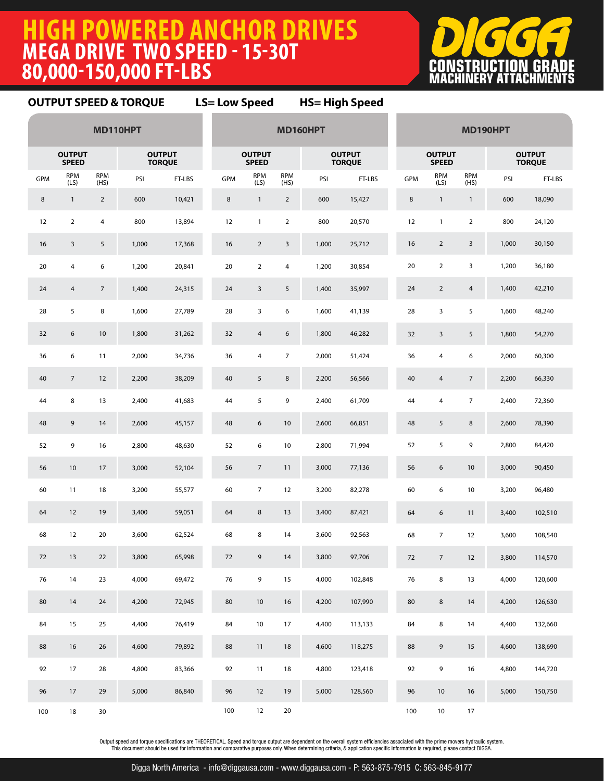### **HIGH POWERED ANCHOR DRIVES MEGA DRIVE TWO SPEED - 15-30T 80,000-150,000 FT-LBS**



#### **MD110HPT OUTPUT SPEED OUTPUT TORQUE**  $GPM$  RPM  $(LS)$ RPM<br>(HS) PSI FT-LBS 1 2 600 10,421 2 4 800 13,894 3 5 1,000 17,368 4 6 1,200 20,841 4 7 1,400 24,315 5 8 1,600 27,789 6 10 1,800 31,262 6 11 2,000 34,736 7 12 2,200 38,209 8 13 2,400 41,683 9 14 2,600 45,157 9 16 2,800 48,630 10 17 3,000 52,104 11 18 3,200 55,577 12 19 3,400 59,051 12 20 3,600 62,524 13 22 3,800 65,998 14 23 4,000 69,472 14 24 4,200 72,945 15 25 4,400 76,419 16 26 4,600 79,892 17 28 4,800 83,366 17 29 5,000 86,840 18 30 **MD160HPT OUTPUT SPEED OUTPUT TORQUE**  $GPM$  RPM (LS) RPM<br>(HS) PSI FT-LBS 1 2 600 15,427 1 2 800 20,570 2 3 1,000 25,712 2 4 1,200 30,854 3 5 1,400 35,997 3 6 1,600 41,139 4 6 1,800 46,282 4 7 2,000 51,424 5 8 2,200 56,566 5 9 2,400 61,709 6 10 2,600 66,851 6 10 2,800 71,994 7 11 3,000 77,136 7 12 3,200 82,278 8 13 3,400 87,421 8 14 3,600 92,563 9 14 3,800 97,706 9 15 4,000 102,848 10 16 4,200 107,990 10 17 4,400 113,133 11 18 4,600 118,275 11 18 4,800 123,418 12 19 5,000 128,560 12 20 **MD190HPT OUTPUT SPEED OUTPUT TORQUE**  $GPM$  RPM  $(LS)$ RPM<br>(HS) PSI FT-LBS 1 1 600 18,090 1 2 800 24,120 2 3 1,000 30,150 2 3 1,200 36,180 2 4 1,400 42,210 3 5 1,600 48,240 3 5 1,800 54,270 4 6 2,000 60,300 4 7 2,200 66,330 4 7 2,400 72,360 5 8 2,600 78,390 5 9 2,800 84,420 6 10 3,000 90,450 6 10 3,200 96,480 6 11 3,400 102,510 7 12 3,600 108,540 7 12 3,800 114,570 8 13 4,000 120,600 8 14 4,200 126,630 8 14 4,400 132,660 9 15 4,600 138,690 9 16 4,800 144,720 10 16 5,000 150,750 10 17 **OUTPUT SPEED & TORQUE LS= Low Speed HS= High Speed**

Output speed and torque specifications are THEORETICAL. Speed and torque output are dependent on the overall system efficiencies associated with the prime movers hydraulic system. This document should be used for information and comparative purposes only. When determining criteria, & application specific information is required, please contact DIGGA.